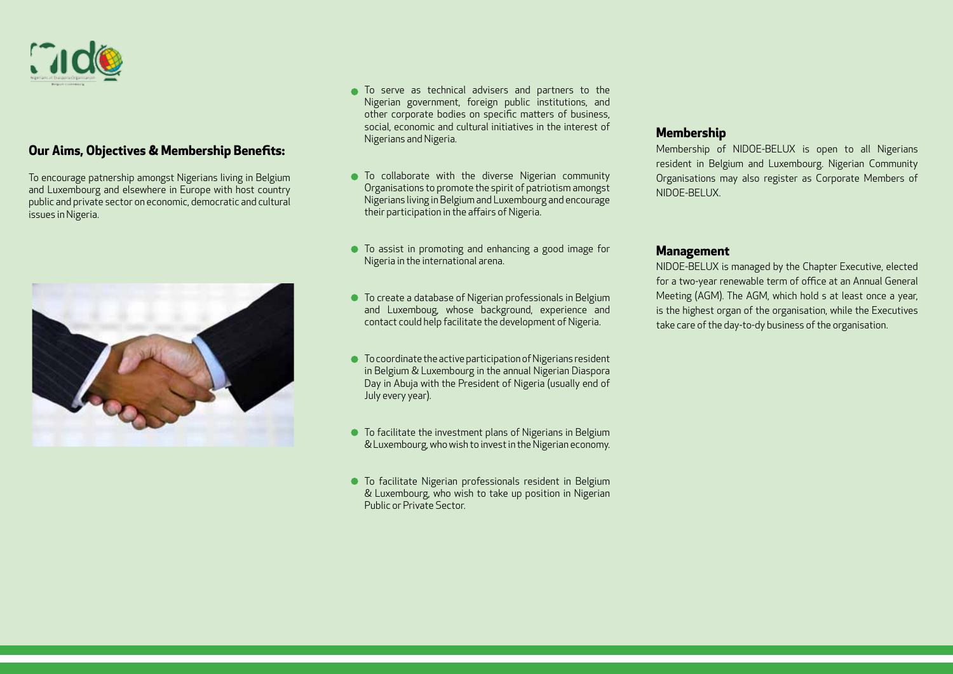

# **Our Aims, Objectives & Membership Benefits:**

To encourage patnership amongst Nigerians living in Belgium and Luxembourg and elsewhere in Europe with host country public and private sector on economic, democratic and cultural issues in Nigeria.



- To serve as technical advisers and partners to the Nigerian government, foreign public institutions, and other corporate bodies on specific matters of business, social, economic and cultural initiatives in the interest of Nigerians and Nigeria.
- $\bullet$  To collaborate with the diverse Nigerian community Organisations to promote the spirit of patriotism amongst Nigerians living in Belgium and Luxembourg and encourage their participation in the affairs of Nigeria.
- To assist in promoting and enhancing a good image for Nigeria in the international arena.
- To create a database of Nigerian professionals in Belgium and Luxemboug, whose background, experience and contact could help facilitate the development of Nigeria.
- To coordinate the active participation of Nigerians resident in Belgium & Luxembourg in the annual Nigerian Diaspora Day in Abuja with the President of Nigeria (usually end of July every year).
- To facilitate the investment plans of Nigerians in Belgium & Luxembourg, who wish to invest in the Nigerian economy.
- To facilitate Nigerian professionals resident in Belgium & Luxembourg, who wish to take up position in Nigerian Public or Private Sector.

### **Membership**

Membership of NIDOE-BELUX is open to all Nigerians resident in Belgium and Luxembourg. Nigerian Community Organisations may also register as Corporate Members of NIDOE-BELUX.

### **Management**

NIDOE-BELUX is managed by the Chapter Executive, elected for a two-year renewable term of office at an Annual General Meeting (AGM). The AGM, which hold s at least once a year, is the highest organ of the organisation, while the Executives take care of the day-to-dy business of the organisation.